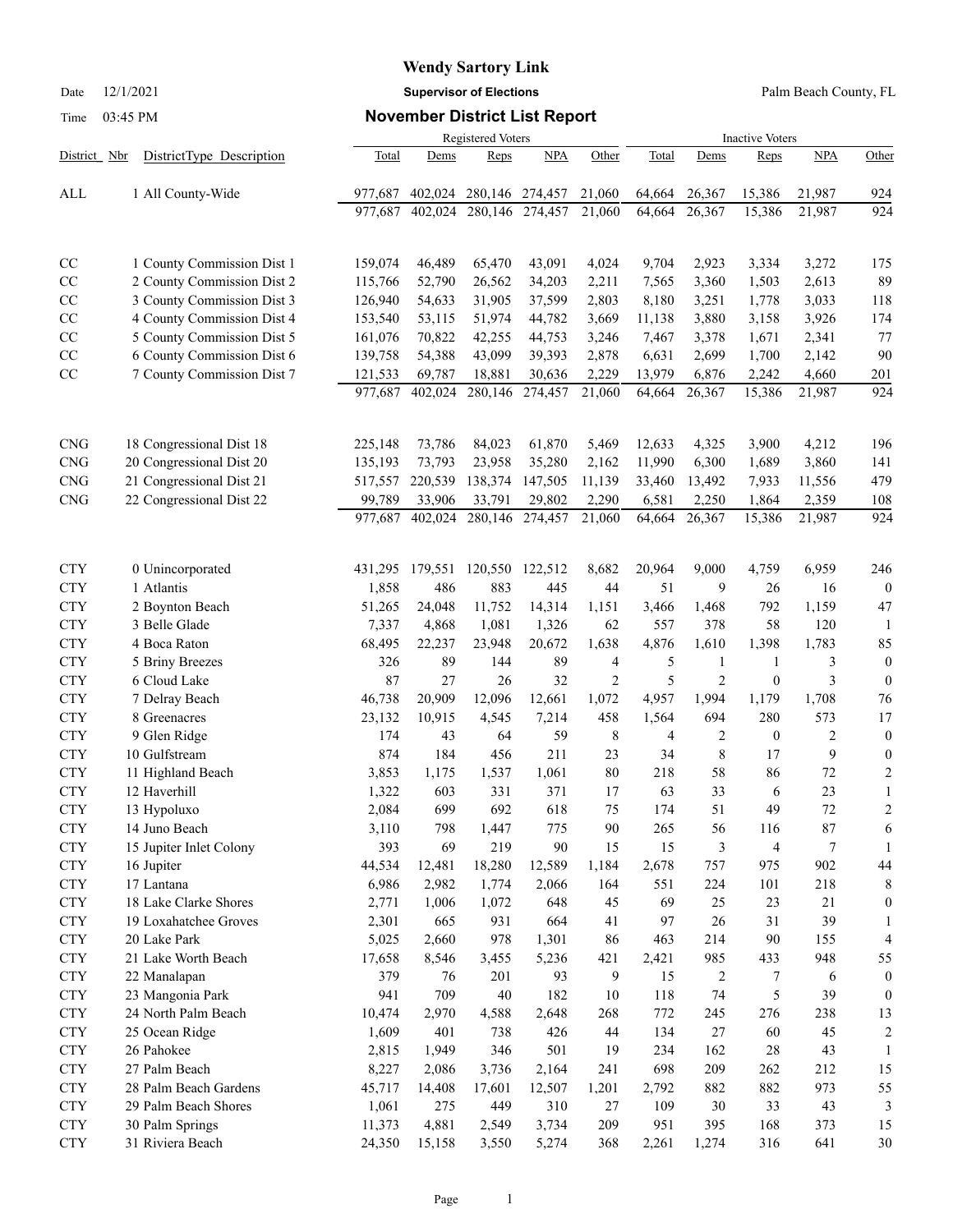# **Wendy Sartory Link**

Date 12/1/2021 **Supervisor of Elections** Palm Beach County, FL

### Time 03:45 PM **November District List Report**

|                          |                                       | <b>Registered Voters</b><br><b>Inactive Voters</b> |              |            |              |                |          |                |                  |                |                  |
|--------------------------|---------------------------------------|----------------------------------------------------|--------------|------------|--------------|----------------|----------|----------------|------------------|----------------|------------------|
| District Nbr             | DistrictType Description              | Total                                              | Dems         | Reps       | <b>NPA</b>   | Other          | Total    | Dems           | Reps             | <b>NPA</b>     | Other            |
| ALL                      | 1 All County-Wide                     | 977,687                                            | 402,024      | 280,146    | 274,457      | 21,060         | 64,664   | 26,367         | 15,386           | 21,987         | 924              |
|                          |                                       | 977,687                                            | 402,024      | 280,146    | 274,457      | 21,060         | 64,664   | 26,367         | 15,386           | 21,987         | 924              |
| CC                       | 1 County Commission Dist 1            | 159,074                                            | 46,489       | 65,470     | 43,091       | 4,024          | 9,704    | 2,923          | 3,334            | 3,272          | 175              |
| $\rm CC$                 | 2 County Commission Dist 2            | 115,766                                            | 52,790       | 26,562     | 34,203       | 2,211          | 7,565    | 3,360          | 1,503            | 2,613          | 89               |
| CC                       | 3 County Commission Dist 3            | 126,940                                            | 54,633       | 31,905     | 37,599       | 2,803          | 8,180    | 3,251          | 1,778            | 3,033          | 118              |
| $\rm CC$                 | 4 County Commission Dist 4            | 153,540                                            | 53,115       | 51,974     | 44,782       | 3,669          | 11,138   | 3,880          | 3,158            | 3,926          | 174              |
| $\rm CC$                 | 5 County Commission Dist 5            | 161,076                                            | 70,822       | 42,255     | 44,753       | 3,246          | 7,467    | 3,378          | 1,671            | 2,341          | 77               |
| $\rm CC$                 | 6 County Commission Dist 6            | 139,758                                            | 54,388       | 43,099     | 39,393       | 2,878          | 6,631    | 2,699          | 1,700            | 2,142          | 90               |
| $\rm CC$                 | 7 County Commission Dist 7            | 121,533                                            | 69,787       | 18,881     | 30,636       | 2,229          | 13,979   | 6,876          | 2,242            | 4,660          | 201              |
|                          |                                       | 977,687                                            | 402,024      | 280,146    | 274,457      | 21,060         | 64,664   | 26,367         | 15,386           | 21,987         | 924              |
| <b>CNG</b>               | 18 Congressional Dist 18              | 225,148                                            | 73,786       | 84,023     | 61,870       | 5,469          | 12,633   | 4,325          | 3,900            | 4,212          | 196              |
| <b>CNG</b>               | 20 Congressional Dist 20              | 135,193                                            | 73,793       | 23,958     | 35,280       | 2,162          | 11,990   | 6,300          | 1,689            | 3,860          | 141              |
| <b>CNG</b>               | 21 Congressional Dist 21              | 517,557                                            | 220,539      | 138,374    | 147,505      | 11,139         | 33,460   | 13,492         | 7,933            | 11,556         | 479              |
| <b>CNG</b>               | 22 Congressional Dist 22              | 99,789                                             | 33,906       | 33,791     | 29,802       | 2,290          | 6,581    | 2,250          | 1,864            | 2,359          | 108              |
|                          |                                       | 977,687                                            | 402,024      | 280,146    | 274,457      | 21,060         | 64,664   | 26,367         | 15,386           | 21,987         | 924              |
| <b>CTY</b>               | 0 Unincorporated                      | 431,295                                            | 179,551      | 120,550    | 122,512      | 8,682          | 20,964   | 9,000          | 4,759            | 6,959          | 246              |
| <b>CTY</b>               | 1 Atlantis                            | 1,858                                              | 486          | 883        | 445          | 44             | 51       | 9              | 26               | 16             | $\overline{0}$   |
| <b>CTY</b>               | 2 Boynton Beach                       | 51,265                                             | 24,048       | 11,752     | 14,314       | 1,151          | 3,466    | 1,468          | 792              | 1,159          | 47               |
| <b>CTY</b>               | 3 Belle Glade                         | 7,337                                              | 4,868        | 1,081      | 1,326        | 62             | 557      | 378            | 58               | 120            | -1               |
| <b>CTY</b>               | 4 Boca Raton                          | 68,495                                             | 22,237       | 23,948     | 20,672       | 1,638          | 4,876    | 1,610          | 1,398            | 1,783          | 85               |
| <b>CTY</b>               | 5 Briny Breezes                       | 326                                                | 89           | 144        | 89           | 4              | 5        | $\mathbf{1}$   | $\mathbf{1}$     | 3              | $\overline{0}$   |
| <b>CTY</b>               | 6 Cloud Lake                          | 87                                                 | 27           | 26         | 32           | $\overline{2}$ | 5        | $\mathfrak{2}$ | $\boldsymbol{0}$ | 3              | $\theta$         |
| <b>CTY</b>               | 7 Delray Beach                        | 46,738                                             | 20,909       | 12,096     | 12,661       | 1,072          | 4,957    | 1,994          | 1,179            | 1,708          | 76               |
| <b>CTY</b>               | 8 Greenacres                          | 23,132                                             | 10,915       | 4,545      | 7,214        | 458            | 1,564    | 694            | 280              | 573            | 17               |
| <b>CTY</b>               | 9 Glen Ridge                          | 174                                                | 43           | 64         | 59           | 8              | 4        | $\overline{2}$ | $\boldsymbol{0}$ | $\overline{c}$ | $\boldsymbol{0}$ |
| <b>CTY</b>               | 10 Gulfstream                         | 874                                                | 184          | 456        | 211          | 23             | 34       | 8              | 17               | 9              | $\boldsymbol{0}$ |
| <b>CTY</b>               | 11 Highland Beach                     | 3,853                                              | 1,175        | 1,537      | 1,061        | 80             | 218      | 58             | 86               | 72             | $\overline{2}$   |
| <b>CTY</b>               | 12 Haverhill                          | 1,322                                              | 603          | 331        | 371          | 17             | 63       | 33             | 6                | 23             | 1                |
| <b>CTY</b>               | 13 Hypoluxo                           | 2,084                                              | 699          | 692        | 618          | 75             | 174      | 51             | 49               | 72             | $\overline{2}$   |
| <b>CTY</b>               | 14 Juno Beach                         | 3,110                                              | 798          | 1,447      | 775          | $90\,$         | 265      | 56             | 116              | 87             | 6                |
| <b>CTY</b>               | 15 Jupiter Inlet Colony               | 393                                                | 69           | 219        | 90           | 15             | 15       | 3              | 4                | $\tau$         | 1                |
| <b>CTY</b>               | 16 Jupiter                            | 44,534                                             | 12,481       | 18,280     | 12,589       | 1,184          | 2,678    | 757            | 975              | 902            | 44               |
| <b>CTY</b>               | 17 Lantana<br>18 Lake Clarke Shores   | 6,986                                              | 2,982        | 1,774      | 2,066        | 164            | 551      | 224            | 101              | 218            | 8                |
| <b>CTY</b><br><b>CTY</b> |                                       | 2,771                                              | 1,006        | 1,072      | 648          | 45<br>41       | 69<br>97 | 25<br>26       | 23<br>31         | 21<br>39       | 0                |
| <b>CTY</b>               | 19 Loxahatchee Groves<br>20 Lake Park | 2,301<br>5,025                                     | 665<br>2,660 | 931<br>978 | 664<br>1,301 | 86             | 463      | 214            | 90               | 155            | 1<br>4           |
| <b>CTY</b>               | 21 Lake Worth Beach                   | 17,658                                             | 8,546        | 3,455      | 5,236        | 421            | 2,421    | 985            | 433              | 948            | 55               |
| <b>CTY</b>               | 22 Manalapan                          | 379                                                | 76           | 201        | 93           | 9              | 15       | 2              | 7                | 6              | $\boldsymbol{0}$ |
| <b>CTY</b>               | 23 Mangonia Park                      | 941                                                | 709          | 40         | 182          | 10             | 118      | 74             | 5                | 39             | $\boldsymbol{0}$ |
| <b>CTY</b>               | 24 North Palm Beach                   | 10,474                                             | 2,970        | 4,588      | 2,648        | 268            | 772      | 245            | 276              | 238            | 13               |
| <b>CTY</b>               | 25 Ocean Ridge                        | 1,609                                              | 401          | 738        | 426          | 44             | 134      | 27             | 60               | 45             | $\overline{c}$   |
| <b>CTY</b>               | 26 Pahokee                            | 2,815                                              | 1,949        | 346        | 501          | 19             | 234      | 162            | 28               | 43             | 1                |
| <b>CTY</b>               | 27 Palm Beach                         | 8,227                                              | 2,086        | 3,736      | 2,164        | 241            | 698      | 209            | 262              | 212            | 15               |
| <b>CTY</b>               | 28 Palm Beach Gardens                 | 45,717                                             | 14,408       | 17,601     | 12,507       | 1,201          | 2,792    | 882            | 882              | 973            | 55               |
| <b>CTY</b>               | 29 Palm Beach Shores                  | 1,061                                              | 275          | 449        | 310          | 27             | 109      | 30             | 33               | 43             | 3                |
| <b>CTY</b>               | 30 Palm Springs                       | 11,373                                             | 4,881        | 2,549      | 3,734        | 209            | 951      | 395            | 168              | 373            | 15               |
| <b>CTY</b>               | 31 Riviera Beach                      | 24,350                                             | 15,158       | 3,550      | 5,274        | 368            | 2,261    | 1,274          | 316              | 641            | $30\,$           |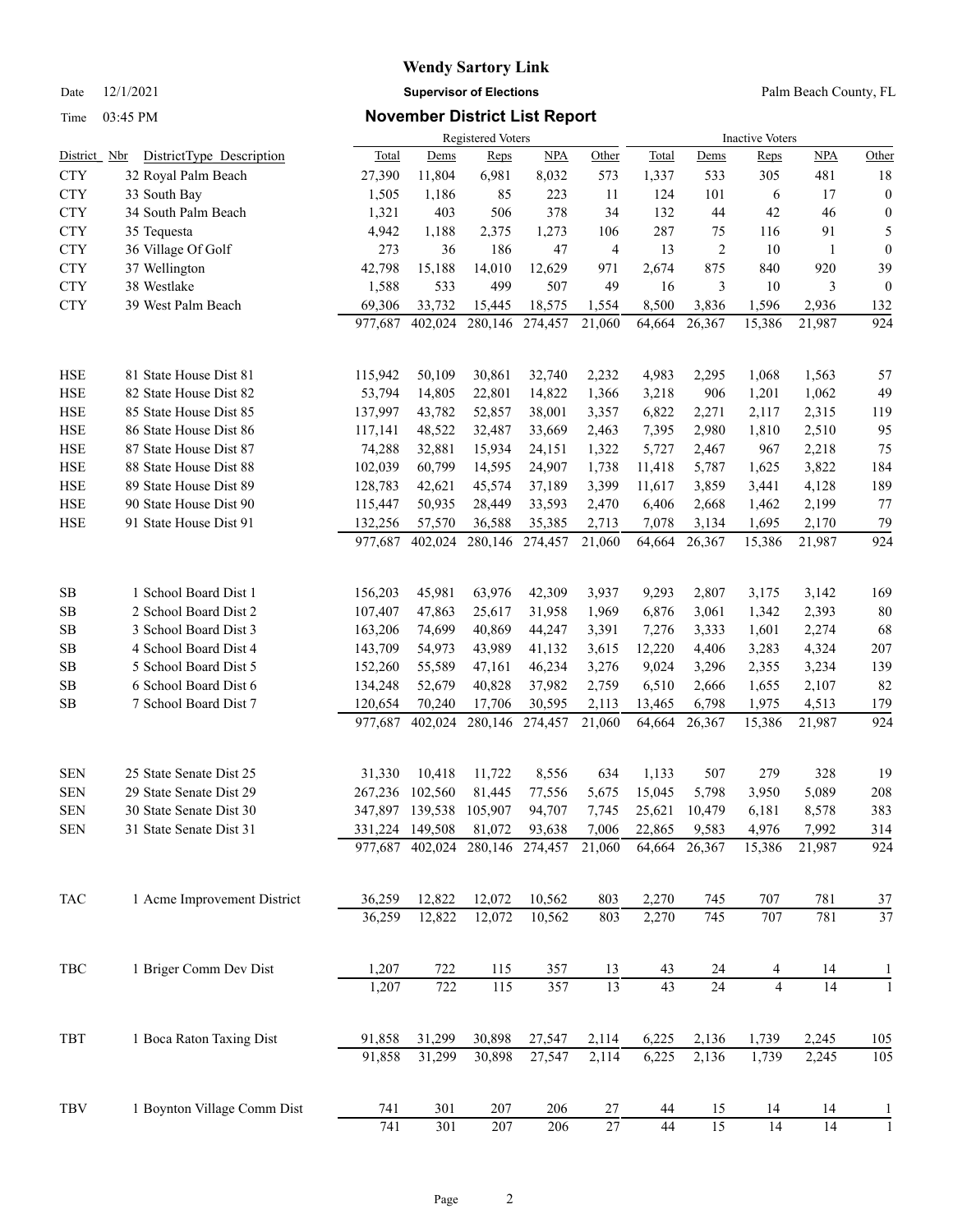# **Wendy Sartory Link** Date 12/1/2021 **Supervisor of Elections** Palm Beach County, FL

### Time 03:45 PM **November District List Report**

|                      |                             |                    |                   | <b>Registered Voters</b> |                   |                 | <b>Inactive Voters</b> |                 |                 |                 |                  |
|----------------------|-----------------------------|--------------------|-------------------|--------------------------|-------------------|-----------------|------------------------|-----------------|-----------------|-----------------|------------------|
| District Nbr         | DistrictType Description    | <b>Total</b>       | Dems              | Reps                     | <b>NPA</b>        | Other           | Total                  | Dems            | Reps            | <b>NPA</b>      | Other            |
| <b>CTY</b>           | 32 Royal Palm Beach         | 27,390             | 11,804            | 6,981                    | 8,032             | 573             | 1,337                  | 533             | 305             | 481             | 18               |
| <b>CTY</b>           | 33 South Bay                | 1,505              | 1,186             | 85                       | 223               | 11              | 124                    | 101             | 6               | 17              | $\boldsymbol{0}$ |
| <b>CTY</b>           | 34 South Palm Beach         | 1,321              | 403               | 506                      | 378               | 34              | 132                    | 44              | 42              | 46              | $\boldsymbol{0}$ |
| <b>CTY</b>           | 35 Tequesta                 | 4,942              | 1,188             | 2,375                    | 1,273             | 106             | 287                    | 75              | 116             | 91              | 5                |
| <b>CTY</b>           | 36 Village Of Golf          | 273                | 36                | 186                      | 47                | 4               | 13                     | $\overline{2}$  | 10              | 1               | $\boldsymbol{0}$ |
| <b>CTY</b>           | 37 Wellington               | 42,798             | 15,188            | 14,010                   | 12,629            | 971             | 2,674                  | 875             | 840             | 920             | 39               |
| <b>CTY</b>           | 38 Westlake                 | 1,588              | 533               | 499                      | 507               | 49              | 16                     | 3               | 10              | 3               | $\boldsymbol{0}$ |
| <b>CTY</b>           | 39 West Palm Beach          | 69,306             | 33,732            | 15,445                   | 18,575            | 1,554           | 8,500                  | 3,836           | 1,596           | 2,936           | 132              |
|                      |                             | 977,687            | 402,024           | 280,146                  | 274,457           | 21,060          | 64,664                 | 26,367          | 15,386          | 21,987          | 924              |
| HSE                  | 81 State House Dist 81      | 115,942            | 50,109            | 30,861                   | 32,740            | 2,232           | 4,983                  | 2,295           | 1,068           | 1,563           | 57               |
| <b>HSE</b>           | 82 State House Dist 82      | 53,794             | 14,805            | 22,801                   | 14,822            | 1,366           | 3,218                  | 906             | 1,201           | 1,062           | 49               |
| <b>HSE</b>           | 85 State House Dist 85      | 137,997            | 43,782            | 52,857                   | 38,001            | 3,357           | 6,822                  | 2,271           | 2,117           | 2,315           | 119              |
| HSE                  | 86 State House Dist 86      | 117,141            | 48,522            | 32,487                   | 33,669            | 2,463           | 7,395                  | 2,980           | 1,810           | 2,510           | 95               |
| <b>HSE</b>           | 87 State House Dist 87      | 74,288             | 32,881            | 15,934                   | 24,151            | 1,322           | 5,727                  | 2,467           | 967             | 2,218           | 75               |
| <b>HSE</b>           | 88 State House Dist 88      | 102,039            | 60,799            | 14,595                   | 24,907            | 1,738           | 11,418                 | 5,787           | 1,625           | 3,822           | 184              |
| <b>HSE</b>           | 89 State House Dist 89      | 128,783            | 42,621            | 45,574                   | 37,189            | 3,399           | 11,617                 | 3,859           | 3,441           | 4,128           | 189              |
| <b>HSE</b>           | 90 State House Dist 90      |                    |                   |                          |                   |                 |                        |                 |                 |                 | 77               |
| <b>HSE</b>           | 91 State House Dist 91      | 115,447            | 50,935            | 28,449<br>36,588         | 33,593            | 2,470           | 6,406                  | 2,668           | 1,462           | 2,199           |                  |
|                      |                             | 132,256<br>977,687 | 57,570<br>402,024 | 280,146                  | 35,385<br>274,457 | 2,713<br>21,060 | 7,078<br>64,664        | 3,134<br>26,367 | 1,695<br>15,386 | 2,170<br>21,987 | 79<br>924        |
|                      |                             |                    |                   |                          |                   |                 |                        |                 |                 |                 |                  |
| <b>SB</b>            | 1 School Board Dist 1       | 156,203            | 45,981            | 63,976                   | 42,309            | 3,937           | 9,293                  | 2,807           | 3,175           | 3,142           | 169              |
| SB                   | 2 School Board Dist 2       | 107,407            | 47,863            | 25,617                   | 31,958            | 1,969           | 6,876                  | 3,061           | 1,342           | 2,393           | 80               |
| SB                   | 3 School Board Dist 3       | 163,206            | 74,699            | 40,869                   | 44,247            | 3,391           | 7,276                  | 3,333           | 1,601           | 2,274           | 68               |
| <b>SB</b>            | 4 School Board Dist 4       | 143,709            | 54,973            | 43,989                   | 41,132            | 3,615           | 12,220                 | 4,406           | 3,283           | 4,324           | 207              |
| SB                   | 5 School Board Dist 5       | 152,260            | 55,589            | 47,161                   | 46,234            | 3,276           | 9,024                  | 3,296           | 2,355           | 3,234           | 139              |
| SB                   | 6 School Board Dist 6       | 134,248            | 52,679            | 40,828                   | 37,982            | 2,759           | 6,510                  | 2,666           | 1,655           | 2,107           | 82               |
| SB                   | 7 School Board Dist 7       | 120,654            | 70,240            | 17,706                   | 30,595            | 2,113           | 13,465                 | 6,798           | 1,975           | 4,513           | 179              |
|                      |                             | 977,687            | 402,024           | 280,146                  | 274,457           | 21,060          | 64,664                 | 26,367          | 15,386          | 21,987          | 924              |
| <b>SEN</b>           | 25 State Senate Dist 25     | 31,330             | 10,418            | 11,722                   | 8,556             | 634             | 1,133                  | 507             | 279             | 328             | 19               |
| <b>SEN</b>           | 29 State Senate Dist 29     | 267,236            | 102,560           | 81,445                   | 77,556            | 5,675           | 15,045                 | 5,798           | 3,950           | 5,089           | 208              |
| <b>SEN</b>           | 30 State Senate Dist 30     |                    | 347,897 139,538   | 105,907                  | 94,707            | 7,745           | 25,621                 | 10,479          | 6,181           | 8,578           | 383              |
| <b>SEN</b>           | 31 State Senate Dist 31     |                    | 331,224 149,508   | 81,072                   | 93,638            | 7,006           | 22,865                 | 9,583           | 4,976           | 7,992           | 314              |
|                      |                             |                    | 977,687 402,024   |                          | 280,146 274,457   | 21,060          | 64,664                 | 26,367          | 15,386          | 21,987          | 924              |
| TAC                  | 1 Acme Improvement District | 36,259             | 12,822            | 12,072                   | 10,562            | 803             | 2,270                  | 745             | 707             | 781             | 37               |
|                      |                             | 36,259             | 12,822            | 12,072                   | 10,562            | 803             | 2,270                  | 745             | 707             | 781             | 37               |
| $_{\rm TBC}$         | 1 Briger Comm Dev Dist      | 1,207              | 722               | 115                      | 357               | 13              | 43                     | 24              | 4               | 14              | 1                |
|                      |                             | 1,207              | 722               | 115                      | 357               | $\overline{13}$ | 43                     | 24              | $\overline{4}$  | 14              |                  |
|                      |                             |                    | 31,299            |                          |                   |                 |                        |                 |                 |                 |                  |
| TBT                  | 1 Boca Raton Taxing Dist    | 91,858<br>91,858   | 31,299            | 30,898<br>30,898         | 27,547<br>27,547  | 2,114           | 6,225                  | 2,136           | 1,739<br>1,739  | 2,245           | 105              |
|                      |                             |                    |                   |                          |                   | 2,114           | 6,225                  | 2,136           |                 | 2,245           | 105              |
| $\operatorname{TBV}$ | 1 Boynton Village Comm Dist | 741                | 301               | 207                      | 206               | 27              | 44                     | 15              | 14              | 14              |                  |
|                      |                             | 741                | 301               | $207\,$                  | 206               | $27\,$          | 44                     | 15              | 14              | 14              |                  |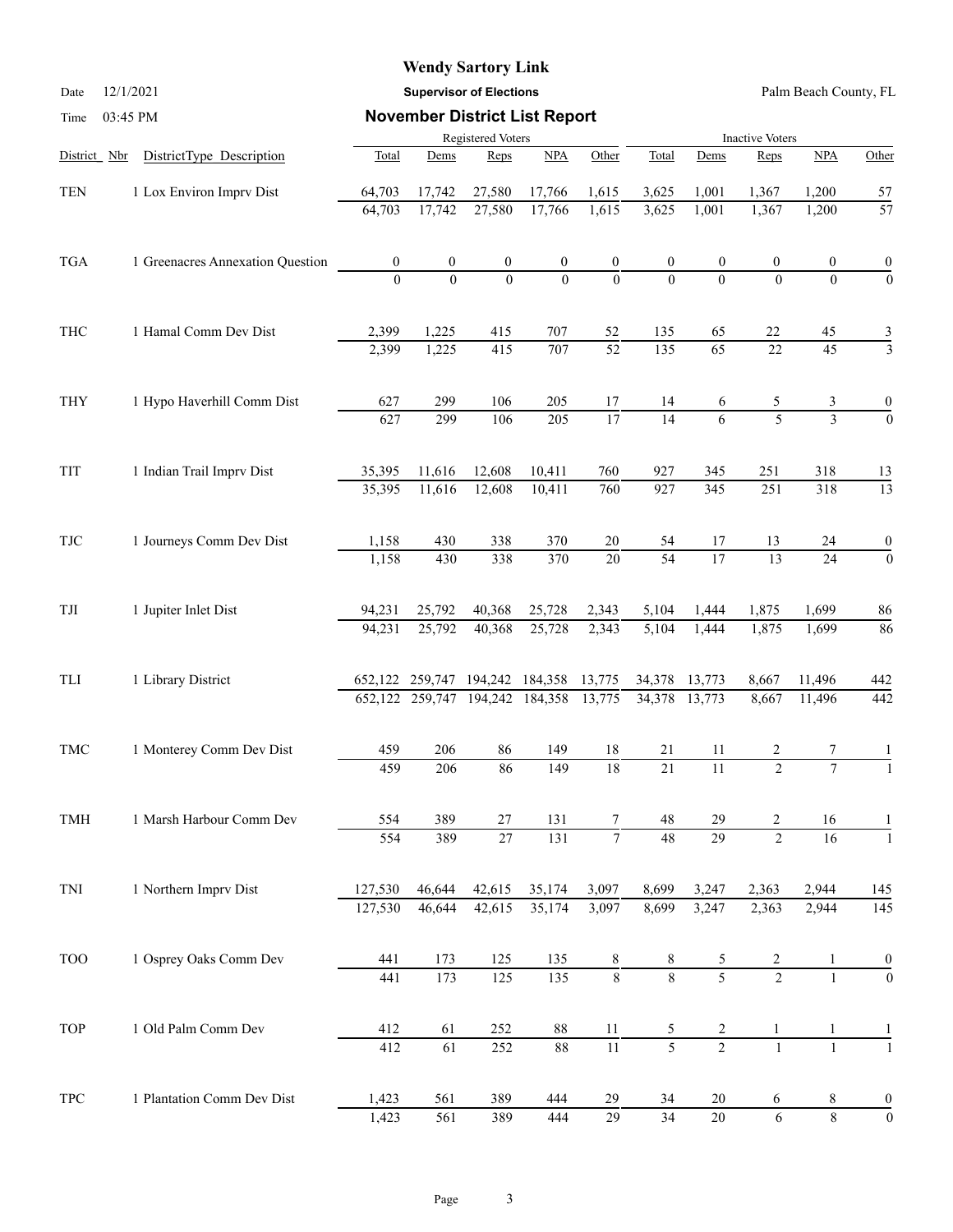# **Wendy Sartory Link**

Date 12/1/2021 **Supervisor of Elections** Palm Beach County, FL

| Time                        |  | 03:45 PM                         |                  | <b>November District List Report</b> |                  |                     |                 |                  |                  |                         |                     |                  |  |  |  |
|-----------------------------|--|----------------------------------|------------------|--------------------------------------|------------------|---------------------|-----------------|------------------|------------------|-------------------------|---------------------|------------------|--|--|--|
|                             |  |                                  |                  | Registered Voters                    |                  |                     |                 |                  |                  | <b>Inactive Voters</b>  |                     |                  |  |  |  |
| District Nbr                |  | DistrictType Description         | Total            | Dems                                 | Reps             | NPA                 | Other           | Total            | Dems             | Reps                    | NPA                 | Other            |  |  |  |
| TEN                         |  | 1 Lox Environ Imprv Dist         | 64,703           | 17,742                               | 27,580           | 17,766              | 1,615           | 3,625            | 1,001            | 1,367                   | 1,200               | 57               |  |  |  |
|                             |  |                                  | 64,703           | 17,742                               | 27,580           | 17,766              | 1,615           | 3,625            | 1,001            | 1,367                   | 1,200               | $\overline{57}$  |  |  |  |
| <b>TGA</b>                  |  | 1 Greenacres Annexation Question | $\boldsymbol{0}$ | $\boldsymbol{0}$                     | $\boldsymbol{0}$ | $\boldsymbol{0}$    | $\frac{0}{0}$   | $\boldsymbol{0}$ | $\boldsymbol{0}$ | 0                       | 0                   | $\overline{0}$   |  |  |  |
|                             |  |                                  | $\Omega$         | $\theta$                             | $\overline{0}$   | $\overline{0}$      |                 | $\Omega$         | $\Omega$         | $\Omega$                | $\Omega$            | $\overline{0}$   |  |  |  |
| THC                         |  | 1 Hamal Comm Dev Dist            | 2,399            | 1,225                                | 415              | 707                 | 52              | 135              | 65               | 22                      | 45                  | $rac{3}{3}$      |  |  |  |
|                             |  |                                  | 2,399            | 1,225                                | 415              | 707                 | $\overline{52}$ | 135              | $\overline{65}$  | $\overline{22}$         | $\overline{45}$     |                  |  |  |  |
| <b>THY</b>                  |  | 1 Hypo Haverhill Comm Dist       | 627              | 299                                  | 106              | 205                 | 17              | 14               | 6                | 5                       | 3<br>$\overline{3}$ | $\frac{0}{0}$    |  |  |  |
|                             |  |                                  | 627              | 299                                  | 106              | $\overline{205}$    | $\overline{17}$ | $\overline{14}$  | 6                | $\overline{\mathbf{5}}$ |                     |                  |  |  |  |
| TIT                         |  | 1 Indian Trail Imprv Dist        | 35,395           | 11,616                               | 12,608           | 10,411              | 760             | 927              | 345              | 251                     | 318                 | 13               |  |  |  |
|                             |  |                                  | 35,395           | 11,616                               | 12,608           | 10,411              | 760             | 927              | 345              | 251                     | 318                 | $\overline{13}$  |  |  |  |
| TJC                         |  | 1 Journeys Comm Dev Dist         | 1,158            | 430                                  | 338              | 370                 | 20              | 54               | 17               | 13                      | 24                  | $\boldsymbol{0}$ |  |  |  |
|                             |  |                                  | 1,158            | 430                                  | 338              | 370                 | 20              | 54               | $\overline{17}$  | 13                      | 24                  | $\overline{0}$   |  |  |  |
| TJI                         |  | 1 Jupiter Inlet Dist             | 94,231           | 25,792                               | 40,368           | 25,728              | 2,343           | 5,104            | 1,444            | 1,875                   | 1,699               | 86               |  |  |  |
|                             |  |                                  | 94,231           | 25,792                               | 40,368           | 25,728              | 2,343           | 5,104            | 1,444            | 1,875                   | 1,699               | 86               |  |  |  |
| TLI                         |  | 1 Library District               |                  | 652,122 259,747 194,242 184,358      |                  |                     | 13,775          | 34,378           | 13,773           | 8,667                   | 11,496              | 442              |  |  |  |
|                             |  |                                  |                  | 652, 122 259, 747 194, 242 184, 358  |                  |                     | 13,775          | 34,378           | 13,773           | 8,667                   | 11,496              | 442              |  |  |  |
| TMC                         |  | 1 Monterey Comm Dev Dist         | 459              | 206                                  | 86               | 149                 | 18              | 21               | 11               | 2                       | 7                   |                  |  |  |  |
|                             |  |                                  | 459              | 206                                  | 86               | 149                 | $\overline{18}$ | $\overline{21}$  | $\overline{11}$  | $\overline{2}$          | $\overline{7}$      |                  |  |  |  |
| TMH                         |  | 1 Marsh Harbour Comm Dev         | 554              | 389                                  | $27\,$           | 131                 | 7               | 48               | 29               | 2                       | 16                  | 1                |  |  |  |
|                             |  |                                  | 554              | 389                                  | $\overline{27}$  | 131                 | $\overline{7}$  | $\overline{48}$  | $\overline{29}$  | $\overline{2}$          | 16                  | -1               |  |  |  |
| TNI                         |  | 1 Northern Imprv Dist            | 127,530          | 46,644                               | 42,615           | 35,174              | 3,097           | 8,699            | 3,247            | 2,363                   | 2,944               | 145              |  |  |  |
|                             |  |                                  | 127,530          | 46,644                               | 42,615           | 35,174              | 3,097           | 8,699            | 3,247            | 2,363                   | 2,944               | 145              |  |  |  |
| <b>TOO</b>                  |  | 1 Osprey Oaks Comm Dev           | 441              | 173                                  | 125              | 135                 | $\frac{8}{8}$   | 8                | 5                | $rac{2}{2}$             |                     |                  |  |  |  |
|                             |  |                                  | 441              | 173                                  | 125              | 135                 |                 | $\overline{8}$   | $\overline{5}$   |                         |                     | $\overline{0}$   |  |  |  |
| TOP                         |  | 1 Old Palm Comm Dev              | 412              | 61                                   | $252\,$          | $88\,$              | 11              | 5                | $\overline{c}$   | 1                       |                     |                  |  |  |  |
|                             |  |                                  | 412              | $\overline{61}$                      | 252              | $\overline{\bf 88}$ | $\overline{11}$ | $\overline{5}$   | $\overline{2}$   | $\mathbf{1}$            | $\mathbf{1}$        |                  |  |  |  |
| $\ensuremath{\mathsf{TPC}}$ |  | 1 Plantation Comm Dev Dist       | 1,423            | 561                                  | 389              | 444                 | 29              | 34               | 20               | 6                       | 8                   | $\boldsymbol{0}$ |  |  |  |
|                             |  |                                  | 1,423            | 561                                  | 389              | 444                 | $\overline{29}$ | $\overline{34}$  | $\overline{20}$  | 6                       | $\,8\,$             | $\overline{0}$   |  |  |  |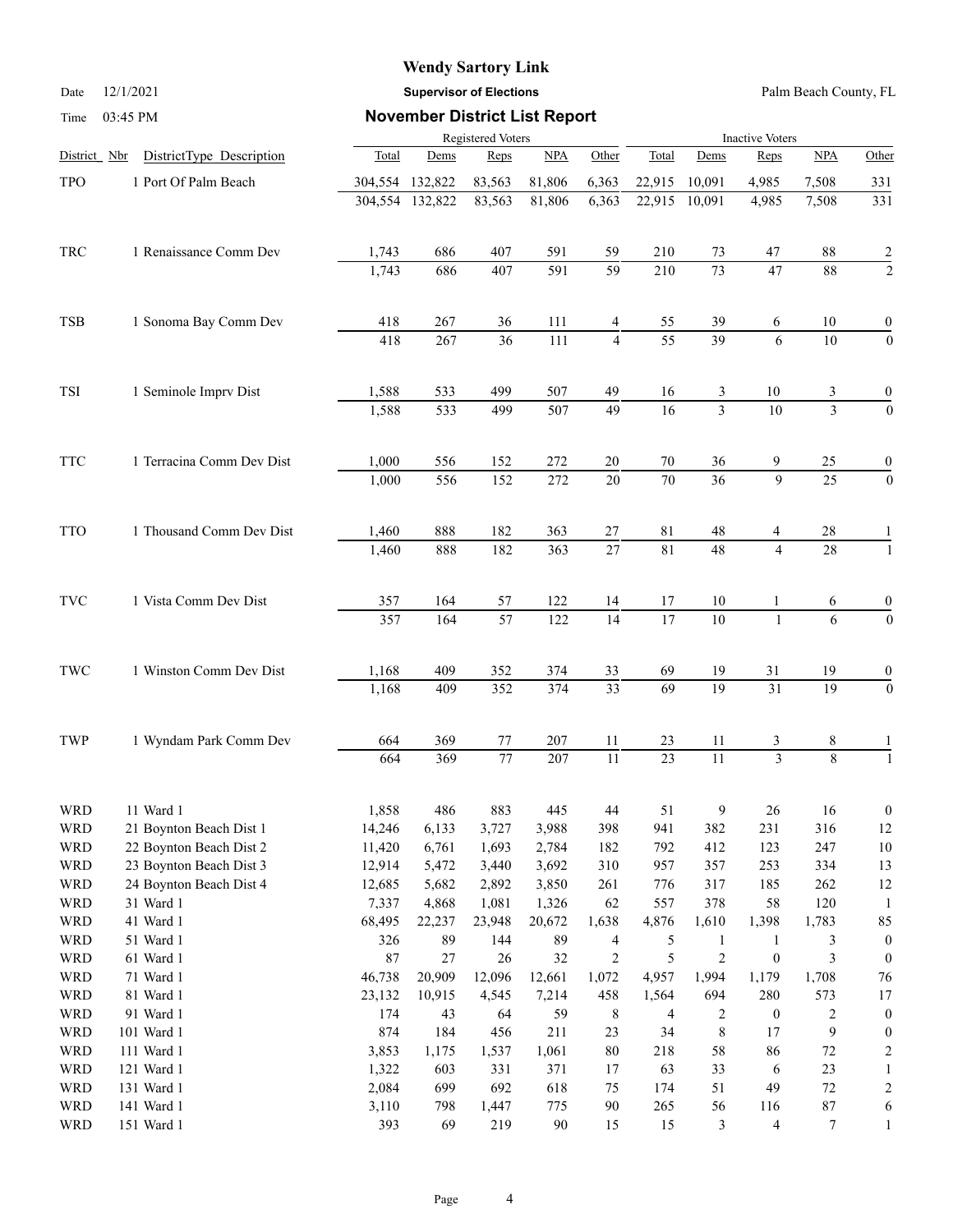|              |                                      |                                                         | <b>Wendy Sartory Link</b>            |                 |              |                 |                 |                                |                        |                 |                                      |  |
|--------------|--------------------------------------|---------------------------------------------------------|--------------------------------------|-----------------|--------------|-----------------|-----------------|--------------------------------|------------------------|-----------------|--------------------------------------|--|
| Date         | 12/1/2021                            | Palm Beach County, FL<br><b>Supervisor of Elections</b> |                                      |                 |              |                 |                 |                                |                        |                 |                                      |  |
| Time         | 03:45 PM                             |                                                         | <b>November District List Report</b> |                 |              |                 |                 |                                |                        |                 |                                      |  |
|              |                                      | Registered Voters                                       |                                      |                 |              |                 |                 |                                | <b>Inactive Voters</b> |                 |                                      |  |
| District Nbr | DistrictType Description             | Total                                                   | Dems                                 | Reps            | NPA          | Other           | Total           | Dems                           | Reps                   | NPA             | Other                                |  |
| TPO          | 1 Port Of Palm Beach                 | 304,554 132,822                                         |                                      | 83,563          | 81,806       | 6,363           | 22,915          | 10,091                         | 4,985                  | 7,508           | 331                                  |  |
|              |                                      |                                                         | 304,554 132,822                      | 83,563          | 81,806       | 6,363           | 22,915          | 10,091                         | 4,985                  | 7,508           | 331                                  |  |
| TRC          | 1 Renaissance Comm Dev               | 1,743                                                   | 686                                  | 407             | 591          | 59              | 210             | 73                             | 47                     | 88              | $\frac{2}{2}$                        |  |
|              |                                      | 1,743                                                   | 686                                  | 407             | 591          | 59              | 210             | $\overline{73}$                | $\overline{47}$        | 88              |                                      |  |
| TSB          | 1 Sonoma Bay Comm Dev                | 418                                                     | 267                                  | 36              | 111          | 4               | 55              | 39                             | 6                      | 10              | $\boldsymbol{0}$                     |  |
|              |                                      | 418                                                     | 267                                  | $\overline{36}$ | 111          | $\overline{4}$  | $\overline{55}$ | $\overline{39}$                | 6                      | 10              | $\boldsymbol{0}$                     |  |
| TSI          | 1 Seminole Imprv Dist                | 1,588                                                   | 533                                  | 499             | 507          | 49              | 16              | 3                              | 10                     | 3               | 0                                    |  |
|              |                                      | 1,588                                                   | 533                                  | 499             | 507          | 49              | 16              | $\overline{3}$                 | 10                     | $\overline{3}$  | $\boldsymbol{0}$                     |  |
| TTC          | 1 Terracina Comm Dev Dist            | 1,000                                                   | 556                                  | 152             | 272          | 20              | 70              | 36                             | 9                      | 25              | 0                                    |  |
|              |                                      | 1,000                                                   | 556                                  | 152             | 272          | 20              | 70              | $\overline{36}$                | $\overline{9}$         | $\overline{25}$ | $\boldsymbol{0}$                     |  |
| TTO          | 1 Thousand Comm Dev Dist             | 1,460                                                   | 888                                  | 182             | 363          | $27\,$          | 81              | 48                             | 4                      | 28              |                                      |  |
|              |                                      | 1,460                                                   | 888                                  | 182             | 363          | 27              | 81              | 48                             | $\overline{4}$         | 28              | $\overline{1}$                       |  |
| TVC          | 1 Vista Comm Dev Dist                | 357                                                     | 164                                  | 57              | 122          | 14              | 17              | 10                             | 1                      | 6               | $\boldsymbol{0}$                     |  |
|              |                                      | $\overline{357}$                                        | 164                                  | $\overline{57}$ | 122          | $\overline{14}$ | $\overline{17}$ | $\overline{10}$                | $\mathbf{1}$           | $\overline{6}$  | $\mathbf{0}$                         |  |
| TWC          | 1 Winston Comm Dev Dist              | 1,168                                                   | 409                                  | 352             | 374          | 33              | 69              | 19                             | 31                     | 19              | 0                                    |  |
|              |                                      | 1,168                                                   | 409                                  | 352             | 374          | $\overline{33}$ | 69              | $\overline{19}$                | $\overline{31}$        | 19              | $\boldsymbol{0}$                     |  |
| TWP          | 1 Wyndam Park Comm Dev               | 664                                                     | 369                                  | 77              | 207          | 11              | 23              | 11                             | 3                      | 8               | 1                                    |  |
|              |                                      | 664                                                     | 369                                  | $77\,$          | 207          | 11              | 23              | 11                             | $\mathfrak{Z}$         | $8\,$           | $\mathbf{1}$                         |  |
| WRD          | 11 Ward 1                            | 1,858                                                   | 486                                  | 883             | 445          | 44              | 51              | 9                              | 26                     | 16              | $\boldsymbol{0}$                     |  |
| WRD          | 21 Boynton Beach Dist 1              | 14,246                                                  | 6,133                                | 3,727           | 3,988        | 398             | 941             | 382                            | 231                    | 316             | 12                                   |  |
| WRD          | 22 Boynton Beach Dist 2              | 11,420                                                  | 6,761                                | 1,693           | 2,784        | 182             | 792             | 412                            | 123                    | 247             | 10                                   |  |
| WRD          | 23 Boynton Beach Dist 3              | 12,914                                                  | 5,472                                | 3,440           | 3,692        | 310             | 957             | 357                            | 253                    | 334             | 13                                   |  |
| WRD          | 24 Boynton Beach Dist 4<br>31 Ward 1 | 12,685                                                  | 5,682                                | 2,892           | 3,850        | 261             | 776             | 317                            | 185                    | 262             | 12                                   |  |
| WRD          | 41 Ward 1                            | 7,337                                                   | 4,868                                | 1,081           | 1,326        | 62              | 557             | 378                            | 58                     | 120             | 1                                    |  |
| WRD<br>WRD   | 51 Ward 1                            | 68,495<br>326                                           | 22,237<br>89                         | 23,948<br>144   | 20,672<br>89 | 1,638           | 4,876           | 1,610                          | 1,398                  | 1,783           | 85                                   |  |
| WRD          | 61 Ward 1                            | $87\,$                                                  | 27                                   | 26              | 32           | 4<br>2          | 5<br>5          | $\mathbf{1}$<br>$\overline{c}$ | 1<br>$\boldsymbol{0}$  | 3<br>3          | $\boldsymbol{0}$<br>$\boldsymbol{0}$ |  |
| WRD          | 71 Ward 1                            | 46,738                                                  | 20,909                               | 12,096          | 12,661       | 1,072           | 4,957           | 1,994                          | 1,179                  | 1,708           | 76                                   |  |
| WRD          | 81 Ward 1                            | 23,132                                                  | 10,915                               | 4,545           | 7,214        | 458             | 1,564           | 694                            | 280                    | 573             | 17                                   |  |
|              |                                      |                                                         |                                      |                 |              |                 |                 |                                |                        |                 |                                      |  |

WRD 91 Ward 1 174 43 64 59 8 4 2 0 2 0 WRD 101 Ward 1 874 184 456 211 23 34 8 17 9 0 WRD 111 Ward 1 3,853 1,175 1,537 1,061 80 218 58 86 72 2 WRD 121 Ward 1 1,322 603 331 371 17 63 33 6 23 1 WRD 131 Ward 1 2,084 699 692 618 75 174 51 49 72 2 WRD 141 Ward 1 3,110 798 1,447 775 90 265 56 116 87 6 WRD 151 Ward 1 393 69 219 90 15 15 3 4 7 1